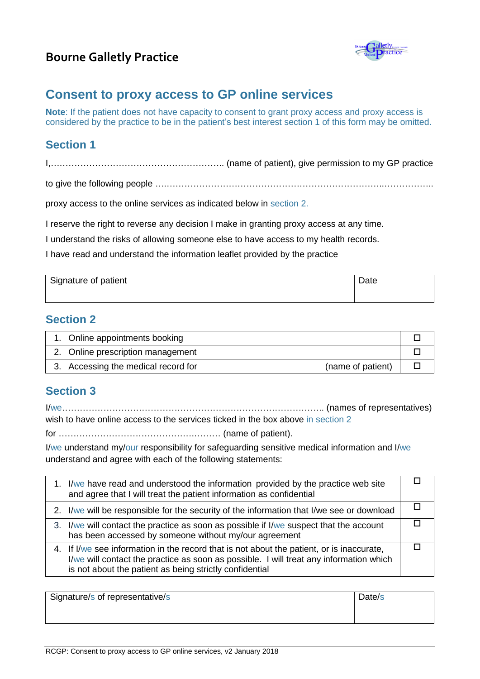## **Bourne Galletly Practice**



# **Consent to proxy access to GP online services**

**Note**: If the patient does not have capacity to consent to grant proxy access and proxy access is considered by the practice to be in the patient's best interest section 1 of this form may be omitted.

### **Section 1**

I,………………………………………………….. (name of patient), give permission to my GP practice

to give the following people ….………………………………………………………………..……………..

proxy access to the online services as indicated below in section 2.

I reserve the right to reverse any decision I make in granting proxy access at any time.

I understand the risks of allowing someone else to have access to my health records.

I have read and understand the information leaflet provided by the practice

| Signature of patient | Date |
|----------------------|------|
|                      |      |

#### **Section 2**

| 1. Online appointments booking                           |  |
|----------------------------------------------------------|--|
| 2. Online prescription management                        |  |
| 3. Accessing the medical record for<br>(name of patient) |  |

### **Section 3**

I/we…………………………………………………………………………….. (names of representatives) wish to have online access to the services ticked in the box above in section 2

for ……………………………………….……… (name of patient).

I/we understand my/our responsibility for safeguarding sensitive medical information and I/we understand and agree with each of the following statements:

| 1. I/we have read and understood the information provided by the practice web site<br>and agree that I will treat the patient information as confidential                                                                                      |  |
|------------------------------------------------------------------------------------------------------------------------------------------------------------------------------------------------------------------------------------------------|--|
| 2. I/we will be responsible for the security of the information that I/we see or download                                                                                                                                                      |  |
| 3. I/we will contact the practice as soon as possible if I/we suspect that the account<br>has been accessed by someone without my/our agreement                                                                                                |  |
| 4. If I/we see information in the record that is not about the patient, or is inaccurate,<br>I/we will contact the practice as soon as possible. I will treat any information which<br>is not about the patient as being strictly confidential |  |

Signature/s of representative/s  $\Box$